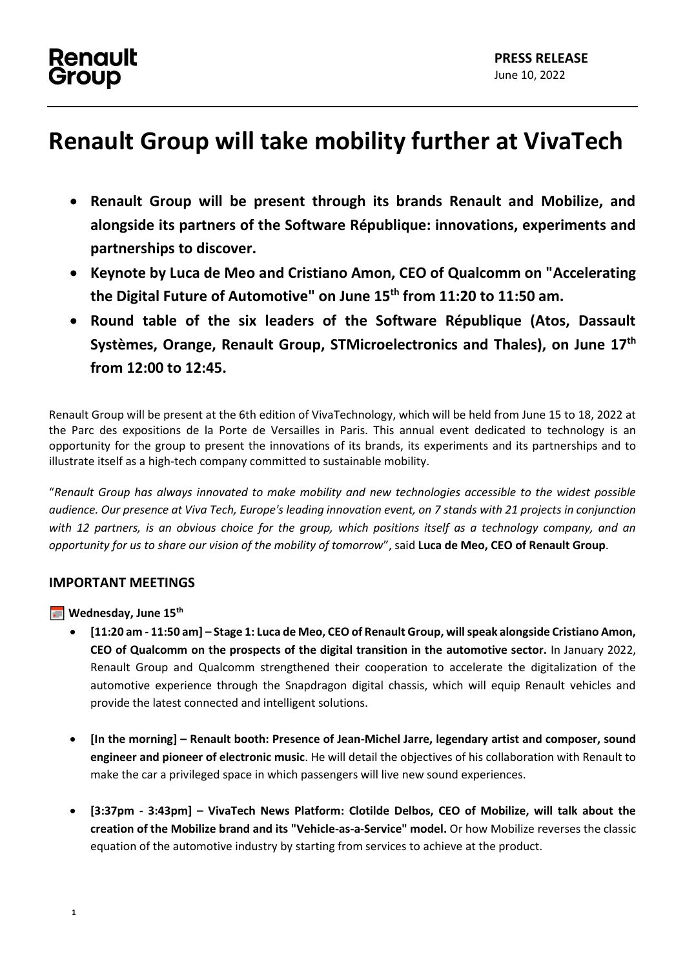## **Renault** Group

# **Renault Group will take mobility further at VivaTech**

- **Renault Group will be present through its brands Renault and Mobilize, and alongside its partners of the Software République: innovations, experiments and partnerships to discover.**
- **Keynote by Luca de Meo and Cristiano Amon, CEO of Qualcomm on "Accelerating the Digital Future of Automotive" on June 15th from 11:20 to 11:50 am.**
- **Round table of the six leaders of the Software République (Atos, Dassault Systèmes, Orange, Renault Group, STMicroelectronics and Thales), on June 17th from 12:00 to 12:45.**

Renault Group will be present at the 6th edition of VivaTechnology, which will be held from June 15 to 18, 2022 at the Parc des expositions de la Porte de Versailles in Paris. This annual event dedicated to technology is an opportunity for the group to present the innovations of its brands, its experiments and its partnerships and to illustrate itself as a high-tech company committed to sustainable mobility.

"*Renault Group has always innovated to make mobility and new technologies accessible to the widest possible audience. Our presence at Viva Tech, Europe's leading innovation event, on 7 stands with 21 projects in conjunction with 12 partners, is an obvious choice for the group, which positions itself as a technology company, and an opportunity for us to share our vision of the mobility of tomorrow*", said **Luca de Meo, CEO of Renault Group**.

## **IMPORTANT MEETINGS**

**Wednesday, June 15th**

- **[11:20 am - 11:50 am] – Stage 1: Luca de Meo, CEO of Renault Group, will speak alongside Cristiano Amon, CEO of Qualcomm on the prospects of the digital transition in the automotive sector.** In January 2022, Renault Group and Qualcomm strengthened their cooperation to accelerate the digitalization of the automotive experience through the Snapdragon digital chassis, which will equip Renault vehicles and provide the latest connected and intelligent solutions.
- **[In the morning] – Renault booth: Presence of Jean-Michel Jarre, legendary artist and composer, sound engineer and pioneer of electronic music**. He will detail the objectives of his collaboration with Renault to make the car a privileged space in which passengers will live new sound experiences.
- **[3:37pm - 3:43pm] – VivaTech News Platform: Clotilde Delbos, CEO of Mobilize, will talk about the creation of the Mobilize brand and its "Vehicle-as-a-Service" model.** Or how Mobilize reverses the classic equation of the automotive industry by starting from services to achieve at the product.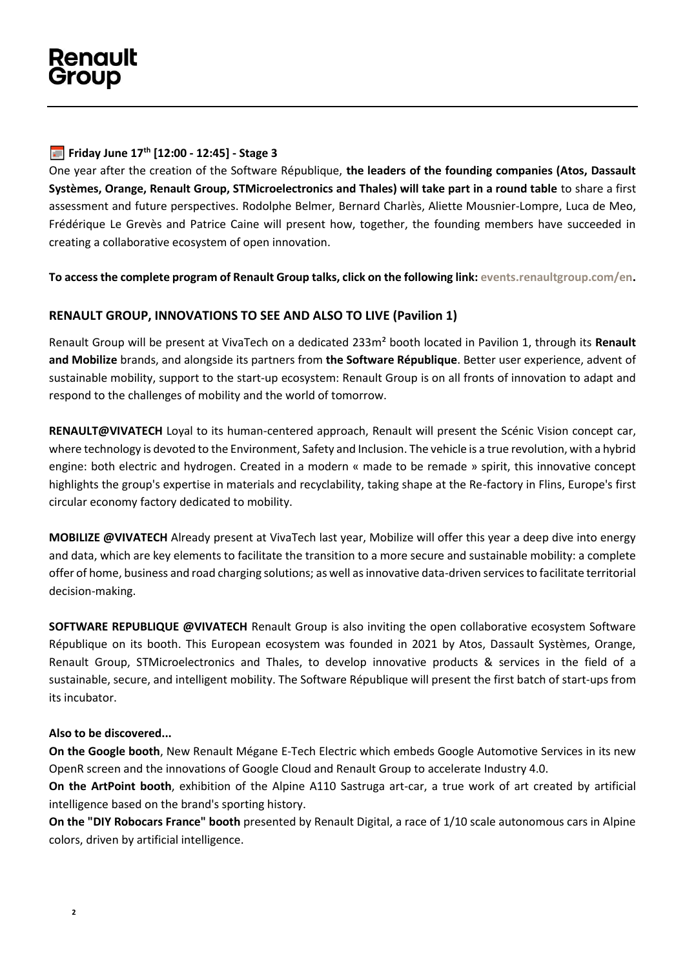### **Friday June 17th [12:00 - 12:45] - Stage 3**

One year after the creation of the Software République, **the leaders of the founding companies (Atos, Dassault Systèmes, Orange, Renault Group, STMicroelectronics and Thales) will take part in a round table** to share a first assessment and future perspectives. Rodolphe Belmer, Bernard Charlès, Aliette Mousnier-Lompre, Luca de Meo, Frédérique Le Grevès and Patrice Caine will present how, together, the founding members have succeeded in creating a collaborative ecosystem of open innovation.

**To access the complete program of Renault Group talks, click on the following link: [events.renaultgroup.com/en.](https://events.renaultgroup.com/en/)**

### **RENAULT GROUP, INNOVATIONS TO SEE AND ALSO TO LIVE (Pavilion 1)**

Renault Group will be present at VivaTech on a dedicated 233m² booth located in Pavilion 1, through its **Renault and Mobilize** brands, and alongside its partners from **the Software République**. Better user experience, advent of sustainable mobility, support to the start-up ecosystem: Renault Group is on all fronts of innovation to adapt and respond to the challenges of mobility and the world of tomorrow.

**RENAULT@VIVATECH** Loyal to its human-centered approach, Renault will present the Scénic Vision concept car, where technology is devoted to the Environment, Safety and Inclusion. The vehicle is a true revolution, with a hybrid engine: both electric and hydrogen. Created in a modern « made to be remade » spirit, this innovative concept highlights the group's expertise in materials and recyclability, taking shape at the Re-factory in Flins, Europe's first circular economy factory dedicated to mobility.

**MOBILIZE @VIVATECH** Already present at VivaTech last year, Mobilize will offer this year a deep dive into energy and data, which are key elements to facilitate the transition to a more secure and sustainable mobility: a complete offer of home, business and road charging solutions; as well as innovative data-driven services to facilitate territorial decision-making.

**SOFTWARE REPUBLIQUE @VIVATECH** Renault Group is also inviting the open collaborative ecosystem Software République on its booth. This European ecosystem was founded in 2021 by Atos, Dassault Systèmes, Orange, Renault Group, STMicroelectronics and Thales, to develop innovative products & services in the field of a sustainable, secure, and intelligent mobility. The Software République will present the first batch of start-ups from its incubator.

#### **Also to be discovered...**

**On the Google booth**, New Renault Mégane E-Tech Electric which embeds Google Automotive Services in its new OpenR screen and the innovations of Google Cloud and Renault Group to accelerate Industry 4.0.

**On the ArtPoint booth**, exhibition of the Alpine A110 Sastruga art-car, a true work of art created by artificial intelligence based on the brand's sporting history.

**On the "DIY Robocars France" booth** presented by Renault Digital, a race of 1/10 scale autonomous cars in Alpine colors, driven by artificial intelligence.